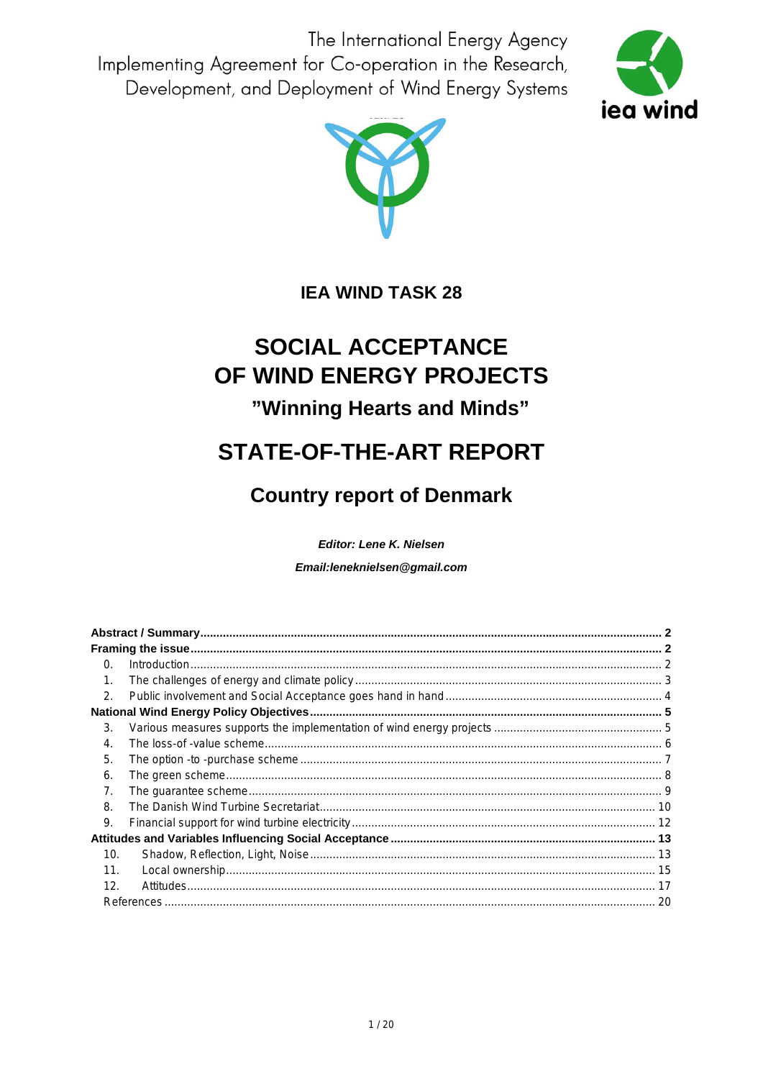



### **IEA WIND TASK 28**

# **SOCIAL ACCEPTANCE** OF WIND ENERGY PROJECTS "Winning Hearts and Minds"

# **STATE-OF-THE-ART REPORT**

## **Country report of Denmark**

Editor: Lene K. Nielsen

Email:leneknielsen@gmail.com

| 0.                    |  |  |
|-----------------------|--|--|
| $\mathbf 1$           |  |  |
| $\mathcal{P}_{\cdot}$ |  |  |
|                       |  |  |
| 3.                    |  |  |
| 4.                    |  |  |
| 5.                    |  |  |
| 6.                    |  |  |
| 7.                    |  |  |
| 8.                    |  |  |
| 9.                    |  |  |
|                       |  |  |
| 10.                   |  |  |
| 11.                   |  |  |
| 12.                   |  |  |
|                       |  |  |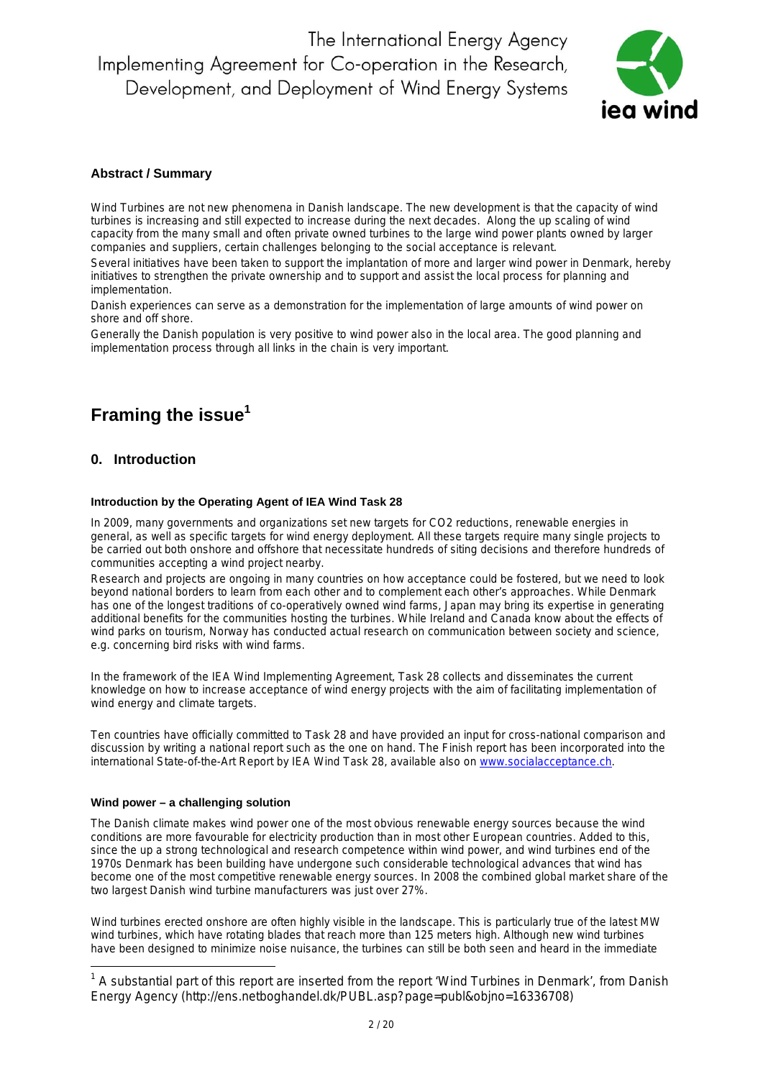

### **Abstract / Summary**

Wind Turbines are not new phenomena in Danish landscape. The new development is that the capacity of wind turbines is increasing and still expected to increase during the next decades. Along the up scaling of wind capacity from the many small and often private owned turbines to the large wind power plants owned by larger companies and suppliers, certain challenges belonging to the social acceptance is relevant.

Several initiatives have been taken to support the implantation of more and larger wind power in Denmark, hereby initiatives to strengthen the private ownership and to support and assist the local process for planning and implementation.

Danish experiences can serve as a demonstration for the implementation of large amounts of wind power on shore and off shore.

Generally the Danish population is very positive to wind power also in the local area. The good planning and implementation process through all links in the chain is very important.

### **Framing the issue1**

### **0. Introduction**

### **Introduction by the Operating Agent of IEA Wind Task 28**

In 2009, many governments and organizations set new targets for CO2 reductions, renewable energies in general, as well as specific targets for wind energy deployment. All these targets require many single projects to be carried out both onshore and offshore that necessitate hundreds of siting decisions and therefore hundreds of communities accepting a wind project nearby.

Research and projects are ongoing in many countries on how acceptance could be fostered, but we need to look beyond national borders to learn from each other and to complement each other's approaches. While Denmark has one of the longest traditions of co-operatively owned wind farms, Japan may bring its expertise in generating additional benefits for the communities hosting the turbines. While Ireland and Canada know about the effects of wind parks on tourism, Norway has conducted actual research on communication between society and science, e.g. concerning bird risks with wind farms.

In the framework of the IEA Wind Implementing Agreement, Task 28 collects and disseminates the current knowledge on how to increase acceptance of wind energy projects with the aim of facilitating implementation of wind energy and climate targets.

Ten countries have officially committed to Task 28 and have provided an input for cross-national comparison and discussion by writing a national report such as the one on hand. The Finish report has been incorporated into the international State-of-the-Art Report by IEA Wind Task 28, available also on www.socialacceptance.ch.

### **Wind power – a challenging solution**

-

The Danish climate makes wind power one of the most obvious renewable energy sources because the wind conditions are more favourable for electricity production than in most other European countries. Added to this, since the up a strong technological and research competence within wind power, and wind turbines end of the 1970s Denmark has been building have undergone such considerable technological advances that wind has become one of the most competitive renewable energy sources. In 2008 the combined global market share of the two largest Danish wind turbine manufacturers was just over 27%.

Wind turbines erected onshore are often highly visible in the landscape. This is particularly true of the latest MW wind turbines, which have rotating blades that reach more than 125 meters high. Although new wind turbines have been designed to minimize noise nuisance, the turbines can still be both seen and heard in the immediate

<sup>1</sup> A substantial part of this report are inserted from the report 'Wind Turbines in Denmark', from Danish Energy Agency (http://ens.netboghandel.dk/PUBL.asp?page=publ&objno=16336708)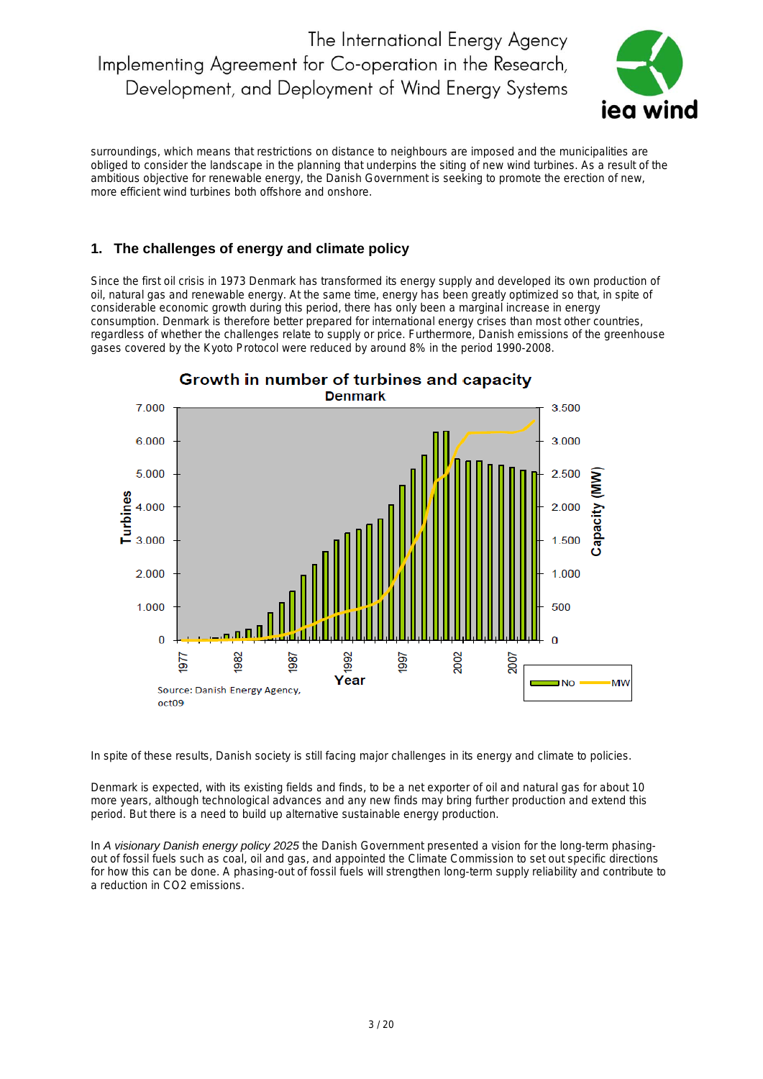

surroundings, which means that restrictions on distance to neighbours are imposed and the municipalities are obliged to consider the landscape in the planning that underpins the siting of new wind turbines. As a result of the ambitious objective for renewable energy, the Danish Government is seeking to promote the erection of new, more efficient wind turbines both offshore and onshore.

### **1. The challenges of energy and climate policy**

Since the first oil crisis in 1973 Denmark has transformed its energy supply and developed its own production of oil, natural gas and renewable energy. At the same time, energy has been greatly optimized so that, in spite of considerable economic growth during this period, there has only been a marginal increase in energy consumption. Denmark is therefore better prepared for international energy crises than most other countries, regardless of whether the challenges relate to supply or price. Furthermore, Danish emissions of the greenhouse gases covered by the Kyoto Protocol were reduced by around 8% in the period 1990-2008.



In spite of these results, Danish society is still facing major challenges in its energy and climate to policies.

Denmark is expected, with its existing fields and finds, to be a net exporter of oil and natural gas for about 10 more years, although technological advances and any new finds may bring further production and extend this period. But there is a need to build up alternative sustainable energy production.

In *A visionary Danish energy policy 2025* the Danish Government presented a vision for the long-term phasingout of fossil fuels such as coal, oil and gas, and appointed the Climate Commission to set out specific directions for how this can be done. A phasing-out of fossil fuels will strengthen long-term supply reliability and contribute to a reduction in CO2 emissions.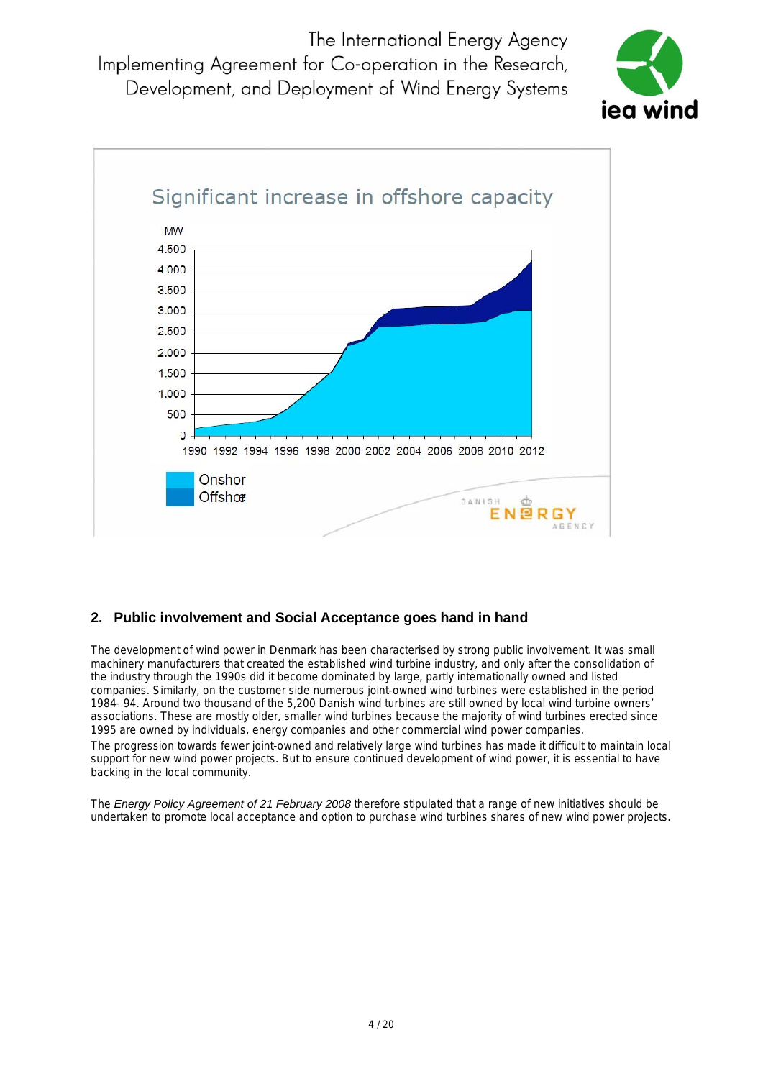



### **2. Public involvement and Social Acceptance goes hand in hand**

The development of wind power in Denmark has been characterised by strong public involvement. It was small machinery manufacturers that created the established wind turbine industry, and only after the consolidation of the industry through the 1990s did it become dominated by large, partly internationally owned and listed companies. Similarly, on the customer side numerous joint-owned wind turbines were established in the period 1984- 94. Around two thousand of the 5,200 Danish wind turbines are still owned by local wind turbine owners' associations. These are mostly older, smaller wind turbines because the majority of wind turbines erected since 1995 are owned by individuals, energy companies and other commercial wind power companies. The progression towards fewer joint-owned and relatively large wind turbines has made it difficult to maintain local support for new wind power projects. But to ensure continued development of wind power, it is essential to have backing in the local community.

The *Energy Policy Agreement of 21 February 2008* therefore stipulated that a range of new initiatives should be undertaken to promote local acceptance and option to purchase wind turbines shares of new wind power projects.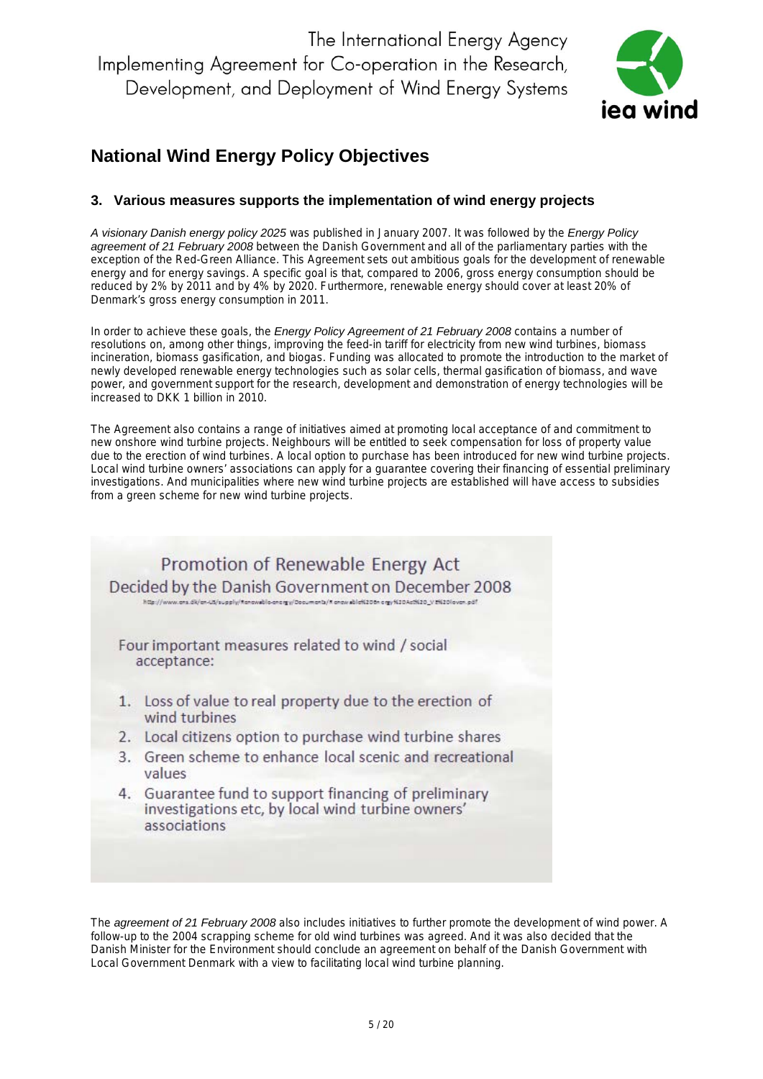

### **National Wind Energy Policy Objectives**

### **3. Various measures supports the implementation of wind energy projects**

*A visionary Danish energy policy 2025* was published in January 2007. It was followed by the *Energy Policy agreement of 21 February 2008* between the Danish Government and all of the parliamentary parties with the exception of the Red-Green Alliance. This Agreement sets out ambitious goals for the development of renewable energy and for energy savings. A specific goal is that, compared to 2006, gross energy consumption should be reduced by 2% by 2011 and by 4% by 2020. Furthermore, renewable energy should cover at least 20% of Denmark's gross energy consumption in 2011.

In order to achieve these goals, the *Energy Policy Agreement of 21 February 2008* contains a number of resolutions on, among other things, improving the feed-in tariff for electricity from new wind turbines, biomass incineration, biomass gasification, and biogas. Funding was allocated to promote the introduction to the market of newly developed renewable energy technologies such as solar cells, thermal gasification of biomass, and wave power, and government support for the research, development and demonstration of energy technologies will be increased to DKK 1 billion in 2010.

The Agreement also contains a range of initiatives aimed at promoting local acceptance of and commitment to new onshore wind turbine projects. Neighbours will be entitled to seek compensation for loss of property value due to the erection of wind turbines. A local option to purchase has been introduced for new wind turbine projects. Local wind turbine owners' associations can apply for a guarantee covering their financing of essential preliminary investigations. And municipalities where new wind turbine projects are established will have access to subsidies from a green scheme for new wind turbine projects.



The *agreement of 21 February 2008* also includes initiatives to further promote the development of wind power. A follow-up to the 2004 scrapping scheme for old wind turbines was agreed. And it was also decided that the Danish Minister for the Environment should conclude an agreement on behalf of the Danish Government with Local Government Denmark with a view to facilitating local wind turbine planning.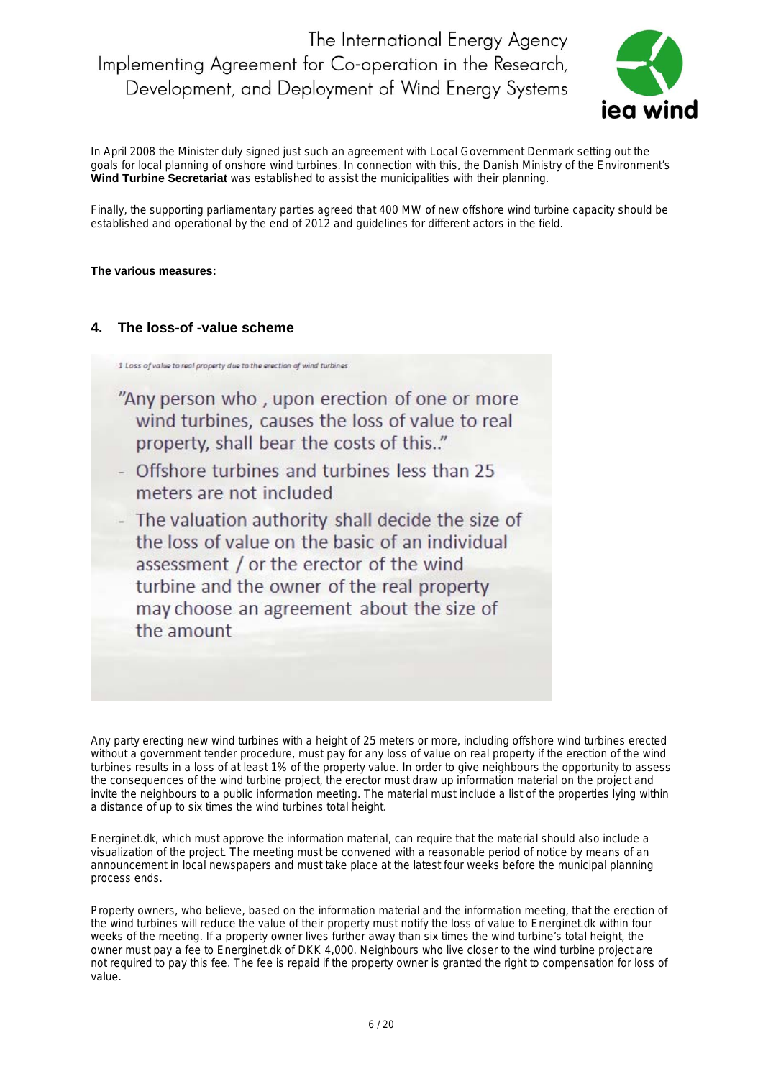

In April 2008 the Minister duly signed just such an agreement with Local Government Denmark setting out the goals for local planning of onshore wind turbines. In connection with this, the Danish Ministry of the Environment's **Wind Turbine Secretariat** was established to assist the municipalities with their planning.

Finally, the supporting parliamentary parties agreed that 400 MW of new offshore wind turbine capacity should be established and operational by the end of 2012 and guidelines for different actors in the field.

### **The various measures:**

### **4. The loss-of -value scheme**

1 Loss of value to real property due to the erection of wind turbines

- "Any person who, upon erection of one or more wind turbines, causes the loss of value to real property, shall bear the costs of this."
- Offshore turbines and turbines less than 25 meters are not included
- The valuation authority shall decide the size of the loss of value on the basic of an individual assessment / or the erector of the wind turbine and the owner of the real property may choose an agreement about the size of the amount

Any party erecting new wind turbines with a height of 25 meters or more, including offshore wind turbines erected without a government tender procedure, must pay for any loss of value on real property if the erection of the wind turbines results in a loss of at least 1% of the property value. In order to give neighbours the opportunity to assess the consequences of the wind turbine project, the erector must draw up information material on the project and invite the neighbours to a public information meeting. The material must include a list of the properties lying within a distance of up to six times the wind turbines total height.

Energinet.dk, which must approve the information material, can require that the material should also include a visualization of the project. The meeting must be convened with a reasonable period of notice by means of an announcement in local newspapers and must take place at the latest four weeks before the municipal planning process ends.

Property owners, who believe, based on the information material and the information meeting, that the erection of the wind turbines will reduce the value of their property must notify the loss of value to Energinet.dk within four weeks of the meeting. If a property owner lives further away than six times the wind turbine's total height, the owner must pay a fee to Energinet.dk of DKK 4,000. Neighbours who live closer to the wind turbine project are not required to pay this fee. The fee is repaid if the property owner is granted the right to compensation for loss of value.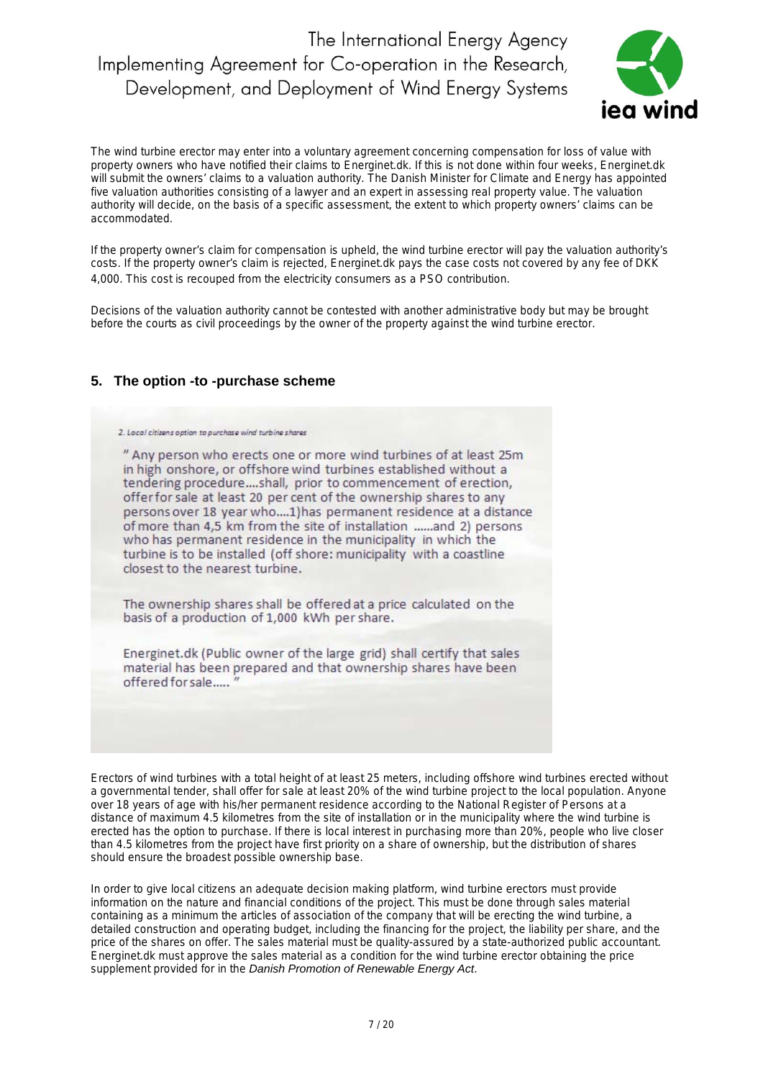

The wind turbine erector may enter into a voluntary agreement concerning compensation for loss of value with property owners who have notified their claims to Energinet.dk. If this is not done within four weeks, Energinet.dk will submit the owners' claims to a valuation authority. The Danish Minister for Climate and Energy has appointed five valuation authorities consisting of a lawyer and an expert in assessing real property value. The valuation authority will decide, on the basis of a specific assessment, the extent to which property owners' claims can be accommodated.

If the property owner's claim for compensation is upheld, the wind turbine erector will pay the valuation authority's costs. If the property owner's claim is rejected, Energinet.dk pays the case costs not covered by any fee of DKK 4,000. This cost is recouped from the electricity consumers as a PSO contribution.

Decisions of the valuation authority cannot be contested with another administrative body but may be brought before the courts as civil proceedings by the owner of the property against the wind turbine erector.

### **5. The option -to -purchase scheme**

### 2. Local citizens option to purchase wind turbine shares

" Any person who erects one or more wind turbines of at least 25m in high onshore, or offshore wind turbines established without a tendering procedure....shall, prior to commencement of erection, offer for sale at least 20 per cent of the ownership shares to any persons over 18 year who....1) has permanent residence at a distance of more than 4,5 km from the site of installation ......and 2) persons who has permanent residence in the municipality in which the turbine is to be installed (off shore: municipality with a coastline closest to the nearest turbine.

The ownership shares shall be offered at a price calculated on the basis of a production of 1,000 kWh per share.

Energinet.dk (Public owner of the large grid) shall certify that sales material has been prepared and that ownership shares have been offered for sale.....

Erectors of wind turbines with a total height of at least 25 meters, including offshore wind turbines erected without a governmental tender, shall offer for sale at least 20% of the wind turbine project to the local population. Anyone over 18 years of age with his/her permanent residence according to the National Register of Persons at a distance of maximum 4.5 kilometres from the site of installation or in the municipality where the wind turbine is erected has the option to purchase. If there is local interest in purchasing more than 20%, people who live closer than 4.5 kilometres from the project have first priority on a share of ownership, but the distribution of shares should ensure the broadest possible ownership base.

In order to give local citizens an adequate decision making platform, wind turbine erectors must provide information on the nature and financial conditions of the project. This must be done through sales material containing as a minimum the articles of association of the company that will be erecting the wind turbine, a detailed construction and operating budget, including the financing for the project, the liability per share, and the price of the shares on offer. The sales material must be quality-assured by a state-authorized public accountant. Energinet.dk must approve the sales material as a condition for the wind turbine erector obtaining the price supplement provided for in the *Danish Promotion of Renewable Energy Act*.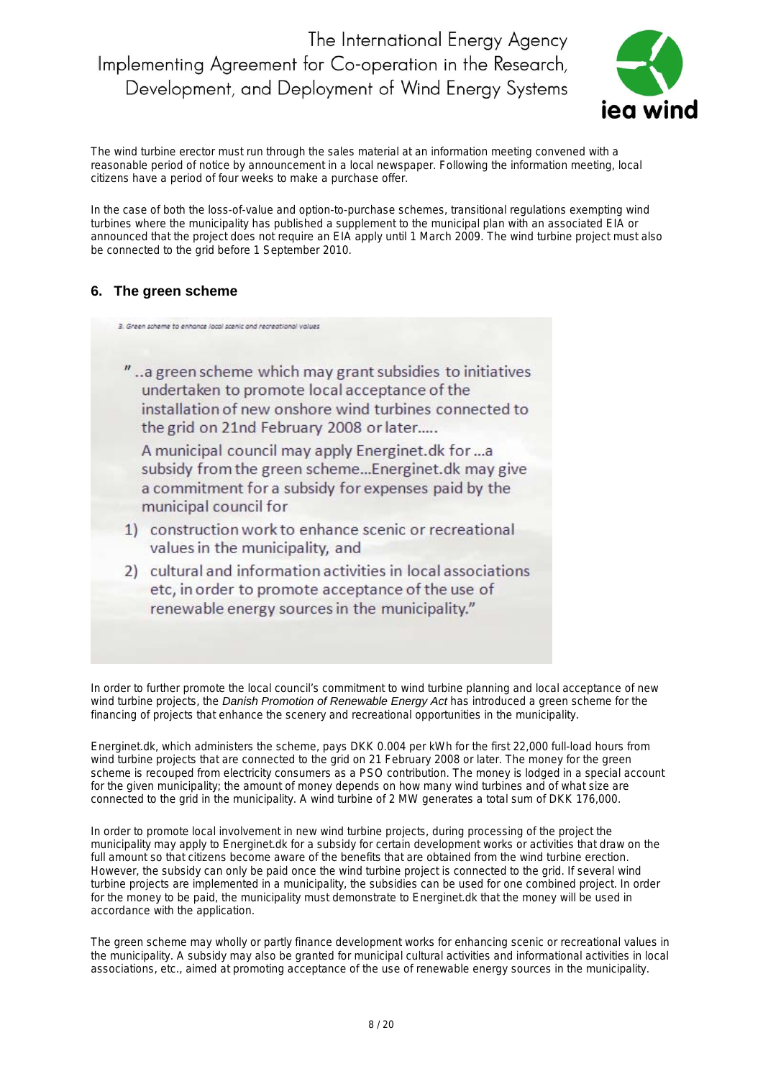

The wind turbine erector must run through the sales material at an information meeting convened with a reasonable period of notice by announcement in a local newspaper. Following the information meeting, local citizens have a period of four weeks to make a purchase offer.

In the case of both the loss-of-value and option-to-purchase schemes, transitional regulations exempting wind turbines where the municipality has published a supplement to the municipal plan with an associated EIA or announced that the project does not require an EIA apply until 1 March 2009. The wind turbine project must also be connected to the grid before 1 September 2010.

### **6. The green scheme**

3. Green scheme to enhance local scenic and recreational values

"..a green scheme which may grant subsidies to initiatives undertaken to promote local acceptance of the installation of new onshore wind turbines connected to the grid on 21nd February 2008 or later.....

A municipal council may apply Energinet.dk for ...a subsidy from the green scheme...Energinet.dk may give a commitment for a subsidy for expenses paid by the municipal council for

- 1) construction work to enhance scenic or recreational values in the municipality, and
- 2) cultural and information activities in local associations etc, in order to promote acceptance of the use of renewable energy sources in the municipality."

In order to further promote the local council's commitment to wind turbine planning and local acceptance of new wind turbine projects, the *Danish Promotion of Renewable Energy Act* has introduced a green scheme for the financing of projects that enhance the scenery and recreational opportunities in the municipality.

Energinet.dk, which administers the scheme, pays DKK 0.004 per kWh for the first 22,000 full-load hours from wind turbine projects that are connected to the grid on 21 February 2008 or later. The money for the green scheme is recouped from electricity consumers as a PSO contribution. The money is lodged in a special account for the given municipality; the amount of money depends on how many wind turbines and of what size are connected to the grid in the municipality. A wind turbine of 2 MW generates a total sum of DKK 176,000.

In order to promote local involvement in new wind turbine projects, during processing of the project the municipality may apply to Energinet.dk for a subsidy for certain development works or activities that draw on the full amount so that citizens become aware of the benefits that are obtained from the wind turbine erection. However, the subsidy can only be paid once the wind turbine project is connected to the grid. If several wind turbine projects are implemented in a municipality, the subsidies can be used for one combined project. In order for the money to be paid, the municipality must demonstrate to Energinet.dk that the money will be used in accordance with the application.

The green scheme may wholly or partly finance development works for enhancing scenic or recreational values in the municipality. A subsidy may also be granted for municipal cultural activities and informational activities in local associations, etc., aimed at promoting acceptance of the use of renewable energy sources in the municipality.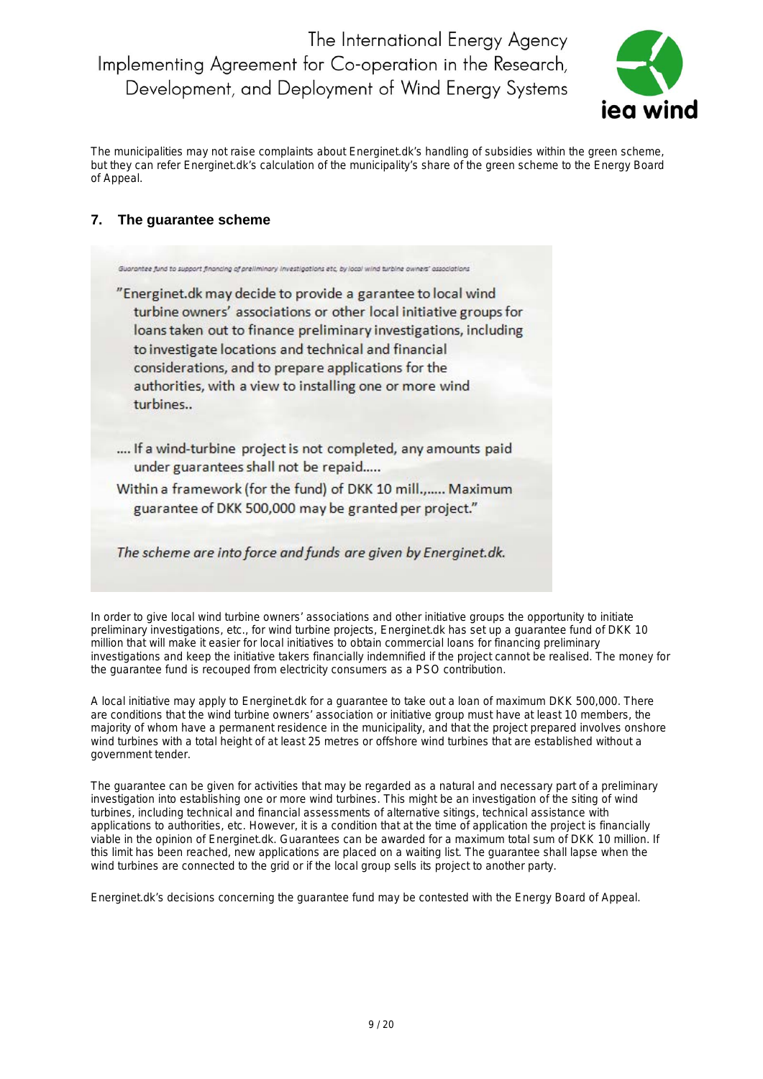

The municipalities may not raise complaints about Energinet.dk's handling of subsidies within the green scheme, but they can refer Energinet.dk's calculation of the municipality's share of the green scheme to the Energy Board of Appeal.

### **7. The guarantee scheme**

Guarantee fund to support financing of preliminary investigations atc\_by local wind turbine guypes' associations "Energinet.dk may decide to provide a garantee to local wind turbine owners' associations or other local initiative groups for loans taken out to finance preliminary investigations, including to investigate locations and technical and financial considerations, and to prepare applications for the authorities, with a view to installing one or more wind turbines.. .... If a wind-turbine project is not completed, any amounts paid under guarantees shall not be repaid..... Within a framework (for the fund) of DKK 10 mill.,..... Maximum guarantee of DKK 500,000 may be granted per project."

The scheme are into force and funds are given by Energinet.dk.

In order to give local wind turbine owners' associations and other initiative groups the opportunity to initiate preliminary investigations, etc., for wind turbine projects, Energinet.dk has set up a guarantee fund of DKK 10 million that will make it easier for local initiatives to obtain commercial loans for financing preliminary investigations and keep the initiative takers financially indemnified if the project cannot be realised. The money for the guarantee fund is recouped from electricity consumers as a PSO contribution.

A local initiative may apply to Energinet.dk for a guarantee to take out a loan of maximum DKK 500,000. There are conditions that the wind turbine owners' association or initiative group must have at least 10 members, the majority of whom have a permanent residence in the municipality, and that the project prepared involves onshore wind turbines with a total height of at least 25 metres or offshore wind turbines that are established without a government tender.

The guarantee can be given for activities that may be regarded as a natural and necessary part of a preliminary investigation into establishing one or more wind turbines. This might be an investigation of the siting of wind turbines, including technical and financial assessments of alternative sitings, technical assistance with applications to authorities, etc. However, it is a condition that at the time of application the project is financially viable in the opinion of Energinet.dk. Guarantees can be awarded for a maximum total sum of DKK 10 million. If this limit has been reached, new applications are placed on a waiting list. The guarantee shall lapse when the wind turbines are connected to the grid or if the local group sells its project to another party.

Energinet.dk's decisions concerning the guarantee fund may be contested with the Energy Board of Appeal.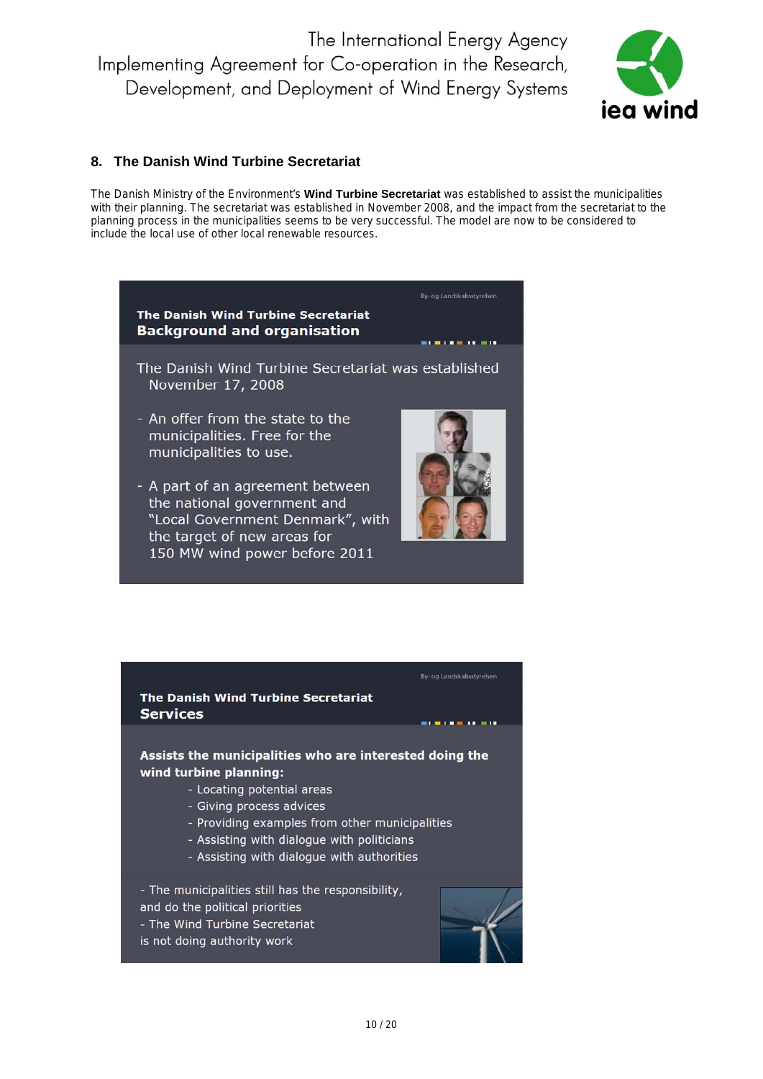

### **8. The Danish Wind Turbine Secretariat**

The Danish Ministry of the Environment's **Wind Turbine Secretariat** was established to assist the municipalities with their planning. The secretariat was established in November 2008, and the impact from the secretariat to the planning process in the municipalities seems to be very successful. The model are now to be considered to include the local use of other local renewable resources.

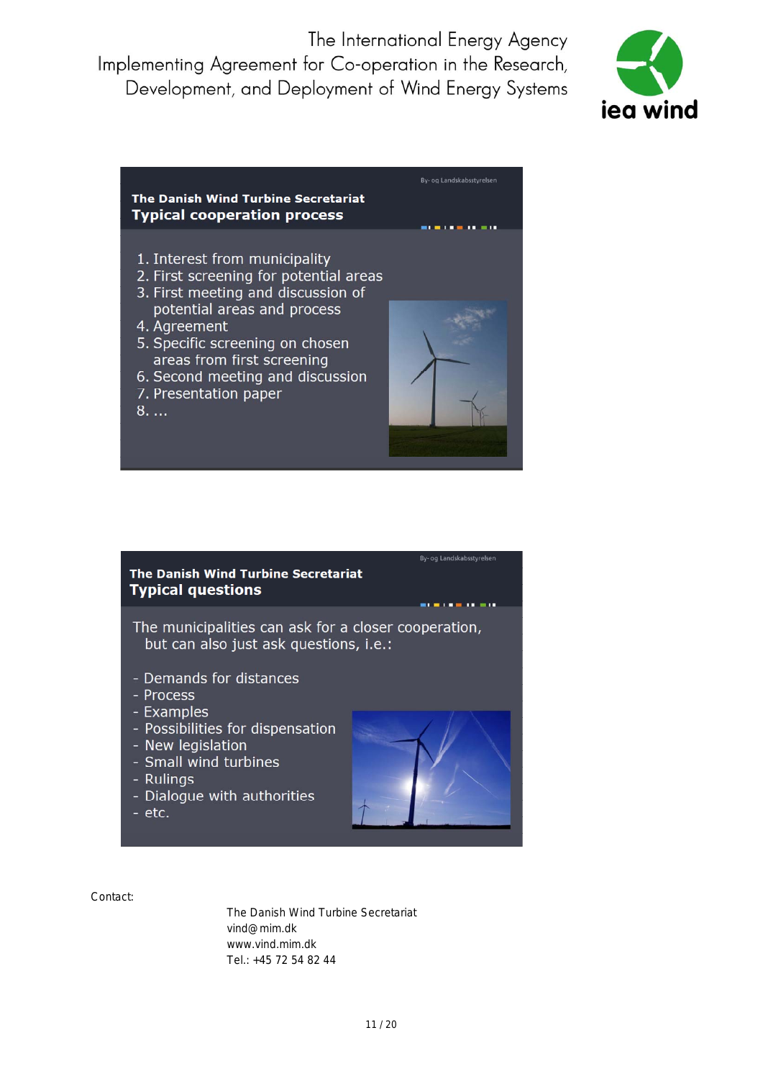

The Danish Wind Turbine Secretariat **Typical cooperation process** 

- 1. Interest from municipality
- 2. First screening for potential areas
- 3. First meeting and discussion of potential areas and process
- 4. Agreement
- 5. Specific screening on chosen areas from first screening
- 6. Second meeting and discussion
- 7. Presentation paper
- $8. \ldots$



By- og Landskabsstyrelsen

### The Danish Wind Turbine Secretariat **Typical questions**

The municipalities can ask for a closer cooperation, but can also just ask questions, i.e.:

- Demands for distances
- Process
- Examples
- Possibilities for dispensation
- New legislation
- Small wind turbines
- Rulings
- Dialogue with authorities
- etc.

Contact:

The Danish Wind Turbine Secretariat vind@mim.dk www.vind.mim.dk Tel.: +45 72 54 82 44

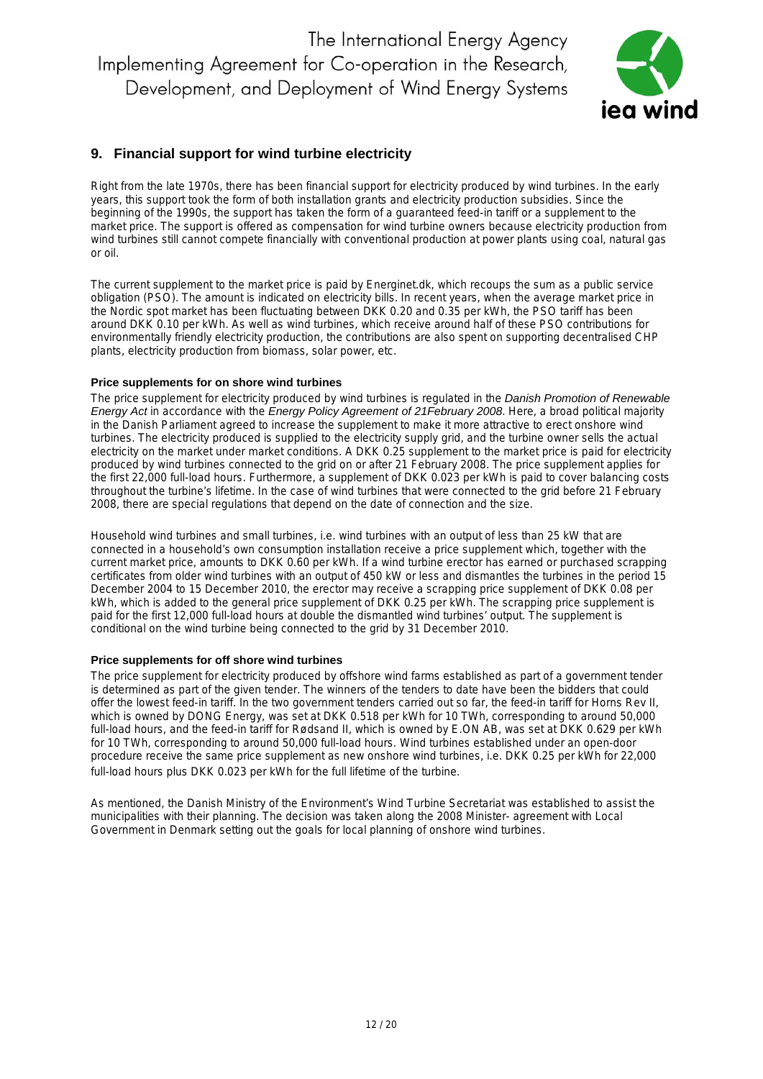

### **9. Financial support for wind turbine electricity**

Right from the late 1970s, there has been financial support for electricity produced by wind turbines. In the early years, this support took the form of both installation grants and electricity production subsidies. Since the beginning of the 1990s, the support has taken the form of a guaranteed feed-in tariff or a supplement to the market price. The support is offered as compensation for wind turbine owners because electricity production from wind turbines still cannot compete financially with conventional production at power plants using coal, natural gas or oil.

The current supplement to the market price is paid by Energinet.dk, which recoups the sum as a public service obligation (PSO). The amount is indicated on electricity bills. In recent years, when the average market price in the Nordic spot market has been fluctuating between DKK 0.20 and 0.35 per kWh, the PSO tariff has been around DKK 0.10 per kWh. As well as wind turbines, which receive around half of these PSO contributions for environmentally friendly electricity production, the contributions are also spent on supporting decentralised CHP plants, electricity production from biomass, solar power, etc.

### **Price supplements for on shore wind turbines**

The price supplement for electricity produced by wind turbines is regulated in the *Danish Promotion of Renewable Energy Act* in accordance with the *Energy Policy Agreement of 21February 2008*. Here, a broad political majority in the Danish Parliament agreed to increase the supplement to make it more attractive to erect onshore wind turbines. The electricity produced is supplied to the electricity supply grid, and the turbine owner sells the actual electricity on the market under market conditions. A DKK 0.25 supplement to the market price is paid for electricity produced by wind turbines connected to the grid on or after 21 February 2008. The price supplement applies for the first 22,000 full-load hours. Furthermore, a supplement of DKK 0.023 per kWh is paid to cover balancing costs throughout the turbine's lifetime. In the case of wind turbines that were connected to the grid before 21 February 2008, there are special regulations that depend on the date of connection and the size.

Household wind turbines and small turbines, i.e. wind turbines with an output of less than 25 kW that are connected in a household's own consumption installation receive a price supplement which, together with the current market price, amounts to DKK 0.60 per kWh. If a wind turbine erector has earned or purchased scrapping certificates from older wind turbines with an output of 450 kW or less and dismantles the turbines in the period 15 December 2004 to 15 December 2010, the erector may receive a scrapping price supplement of DKK 0.08 per kWh, which is added to the general price supplement of DKK 0.25 per kWh. The scrapping price supplement is paid for the first 12,000 full-load hours at double the dismantled wind turbines' output. The supplement is conditional on the wind turbine being connected to the grid by 31 December 2010.

### **Price supplements for off shore wind turbines**

The price supplement for electricity produced by offshore wind farms established as part of a government tender is determined as part of the given tender. The winners of the tenders to date have been the bidders that could offer the lowest feed-in tariff. In the two government tenders carried out so far, the feed-in tariff for Horns Rev II, which is owned by DONG Energy, was set at DKK 0.518 per kWh for 10 TWh, corresponding to around 50,000 full-load hours, and the feed-in tariff for Rødsand II, which is owned by E.ON AB, was set at DKK 0.629 per kWh for 10 TWh, corresponding to around 50,000 full-load hours. Wind turbines established under an open-door procedure receive the same price supplement as new onshore wind turbines, i.e. DKK 0.25 per kWh for 22,000 full-load hours plus DKK 0.023 per kWh for the full lifetime of the turbine.

As mentioned, the Danish Ministry of the Environment's Wind Turbine Secretariat was established to assist the municipalities with their planning. The decision was taken along the 2008 Minister- agreement with Local Government in Denmark setting out the goals for local planning of onshore wind turbines.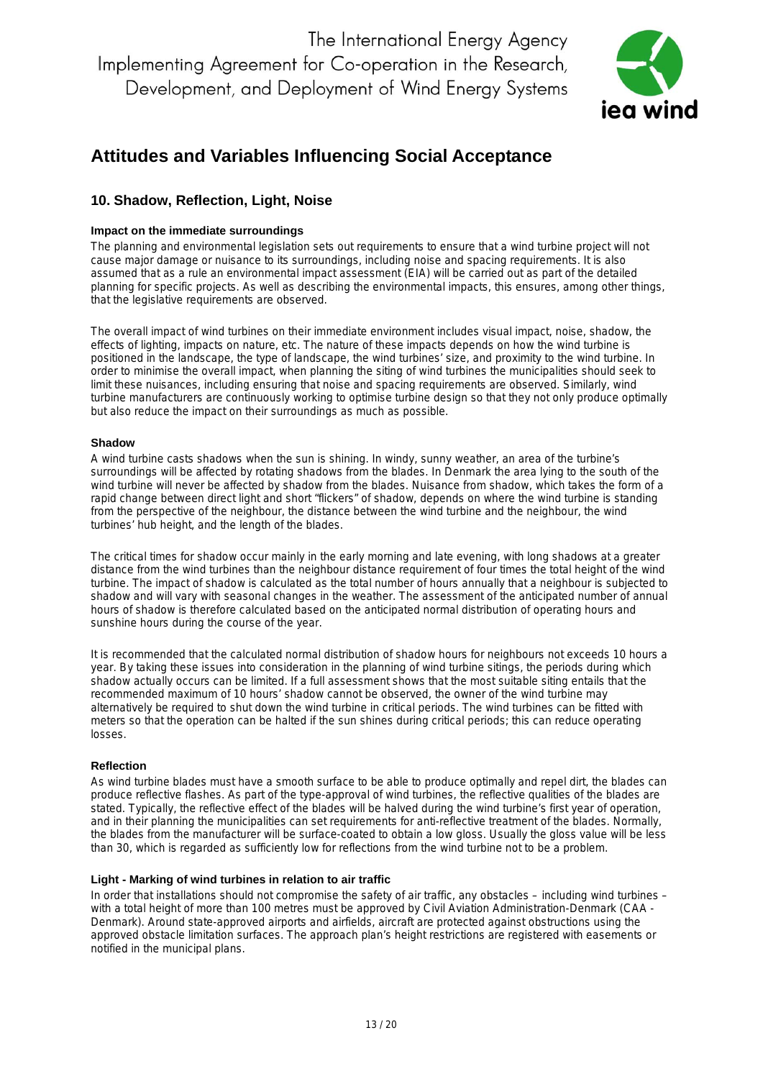

### **Attitudes and Variables Influencing Social Acceptance**

### **10. Shadow, Reflection, Light, Noise**

### **Impact on the immediate surroundings**

The planning and environmental legislation sets out requirements to ensure that a wind turbine project will not cause major damage or nuisance to its surroundings, including noise and spacing requirements. It is also assumed that as a rule an environmental impact assessment (EIA) will be carried out as part of the detailed planning for specific projects. As well as describing the environmental impacts, this ensures, among other things, that the legislative requirements are observed.

The overall impact of wind turbines on their immediate environment includes visual impact, noise, shadow, the effects of lighting, impacts on nature, etc. The nature of these impacts depends on how the wind turbine is positioned in the landscape, the type of landscape, the wind turbines' size, and proximity to the wind turbine. In order to minimise the overall impact, when planning the siting of wind turbines the municipalities should seek to limit these nuisances, including ensuring that noise and spacing requirements are observed. Similarly, wind turbine manufacturers are continuously working to optimise turbine design so that they not only produce optimally but also reduce the impact on their surroundings as much as possible.

### **Shadow**

A wind turbine casts shadows when the sun is shining. In windy, sunny weather, an area of the turbine's surroundings will be affected by rotating shadows from the blades. In Denmark the area lying to the south of the wind turbine will never be affected by shadow from the blades. Nuisance from shadow, which takes the form of a rapid change between direct light and short "flickers" of shadow, depends on where the wind turbine is standing from the perspective of the neighbour, the distance between the wind turbine and the neighbour, the wind turbines' hub height, and the length of the blades.

The critical times for shadow occur mainly in the early morning and late evening, with long shadows at a greater distance from the wind turbines than the neighbour distance requirement of four times the total height of the wind turbine. The impact of shadow is calculated as the total number of hours annually that a neighbour is subjected to shadow and will vary with seasonal changes in the weather. The assessment of the anticipated number of annual hours of shadow is therefore calculated based on the anticipated normal distribution of operating hours and sunshine hours during the course of the year.

It is recommended that the calculated normal distribution of shadow hours for neighbours not exceeds 10 hours a year. By taking these issues into consideration in the planning of wind turbine sitings, the periods during which shadow actually occurs can be limited. If a full assessment shows that the most suitable siting entails that the recommended maximum of 10 hours' shadow cannot be observed, the owner of the wind turbine may alternatively be required to shut down the wind turbine in critical periods. The wind turbines can be fitted with meters so that the operation can be halted if the sun shines during critical periods; this can reduce operating losses.

### **Reflection**

As wind turbine blades must have a smooth surface to be able to produce optimally and repel dirt, the blades can produce reflective flashes. As part of the type-approval of wind turbines, the reflective qualities of the blades are stated. Typically, the reflective effect of the blades will be halved during the wind turbine's first year of operation, and in their planning the municipalities can set requirements for anti-reflective treatment of the blades. Normally, the blades from the manufacturer will be surface-coated to obtain a low gloss. Usually the gloss value will be less than 30, which is regarded as sufficiently low for reflections from the wind turbine not to be a problem.

### **Light - Marking of wind turbines in relation to air traffic**

In order that installations should not compromise the safety of air traffic, any obstacles – including wind turbines – with a total height of more than 100 metres must be approved by Civil Aviation Administration-Denmark (CAA - Denmark). Around state-approved airports and airfields, aircraft are protected against obstructions using the approved obstacle limitation surfaces. The approach plan's height restrictions are registered with easements or notified in the municipal plans.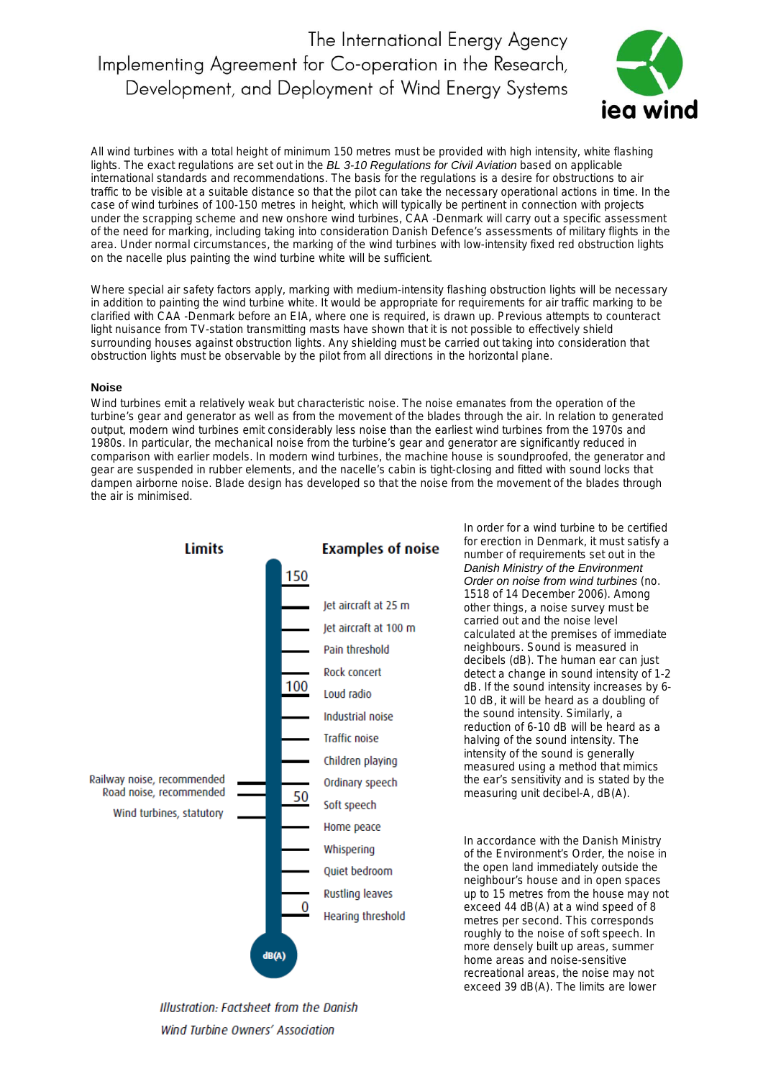

All wind turbines with a total height of minimum 150 metres must be provided with high intensity, white flashing lights. The exact regulations are set out in the *BL 3-10 Regulations for Civil Aviation* based on applicable international standards and recommendations. The basis for the regulations is a desire for obstructions to air traffic to be visible at a suitable distance so that the pilot can take the necessary operational actions in time. In the case of wind turbines of 100-150 metres in height, which will typically be pertinent in connection with projects under the scrapping scheme and new onshore wind turbines, CAA -Denmark will carry out a specific assessment of the need for marking, including taking into consideration Danish Defence's assessments of military flights in the area. Under normal circumstances, the marking of the wind turbines with low-intensity fixed red obstruction lights on the nacelle plus painting the wind turbine white will be sufficient.

Where special air safety factors apply, marking with medium-intensity flashing obstruction lights will be necessary in addition to painting the wind turbine white. It would be appropriate for requirements for air traffic marking to be clarified with CAA -Denmark before an EIA, where one is required, is drawn up. Previous attempts to counteract light nuisance from TV-station transmitting masts have shown that it is not possible to effectively shield surrounding houses against obstruction lights. Any shielding must be carried out taking into consideration that obstruction lights must be observable by the pilot from all directions in the horizontal plane.

### **Noise**

Wind turbines emit a relatively weak but characteristic noise. The noise emanates from the operation of the turbine's gear and generator as well as from the movement of the blades through the air. In relation to generated output, modern wind turbines emit considerably less noise than the earliest wind turbines from the 1970s and 1980s. In particular, the mechanical noise from the turbine's gear and generator are significantly reduced in comparison with earlier models. In modern wind turbines, the machine house is soundproofed, the generator and gear are suspended in rubber elements, and the nacelle's cabin is tight-closing and fitted with sound locks that dampen airborne noise. Blade design has developed so that the noise from the movement of the blades through the air is minimised.



In order for a wind turbine to be certified for erection in Denmark, it must satisfy a number of requirements set out in the *Danish Ministry of the Environment Order on noise from wind turbines* (no. 1518 of 14 December 2006). Among other things, a noise survey must be carried out and the noise level calculated at the premises of immediate neighbours. Sound is measured in decibels (dB). The human ear can just detect a change in sound intensity of 1-2 dB. If the sound intensity increases by 6- 10 dB, it will be heard as a doubling of the sound intensity. Similarly, a reduction of 6-10 dB will be heard as a halving of the sound intensity. The intensity of the sound is generally measured using a method that mimics the ear's sensitivity and is stated by the measuring unit decibel-A, dB(A).

In accordance with the Danish Ministry of the Environment's Order, the noise in the open land immediately outside the neighbour's house and in open spaces up to 15 metres from the house may not exceed 44 dB(A) at a wind speed of 8 metres per second. This corresponds roughly to the noise of soft speech. In more densely built up areas, summer home areas and noise-sensitive recreational areas, the noise may not exceed 39 dB(A). The limits are lower

Illustration: Factsheet from the Danish Wind Turbine Owners' Association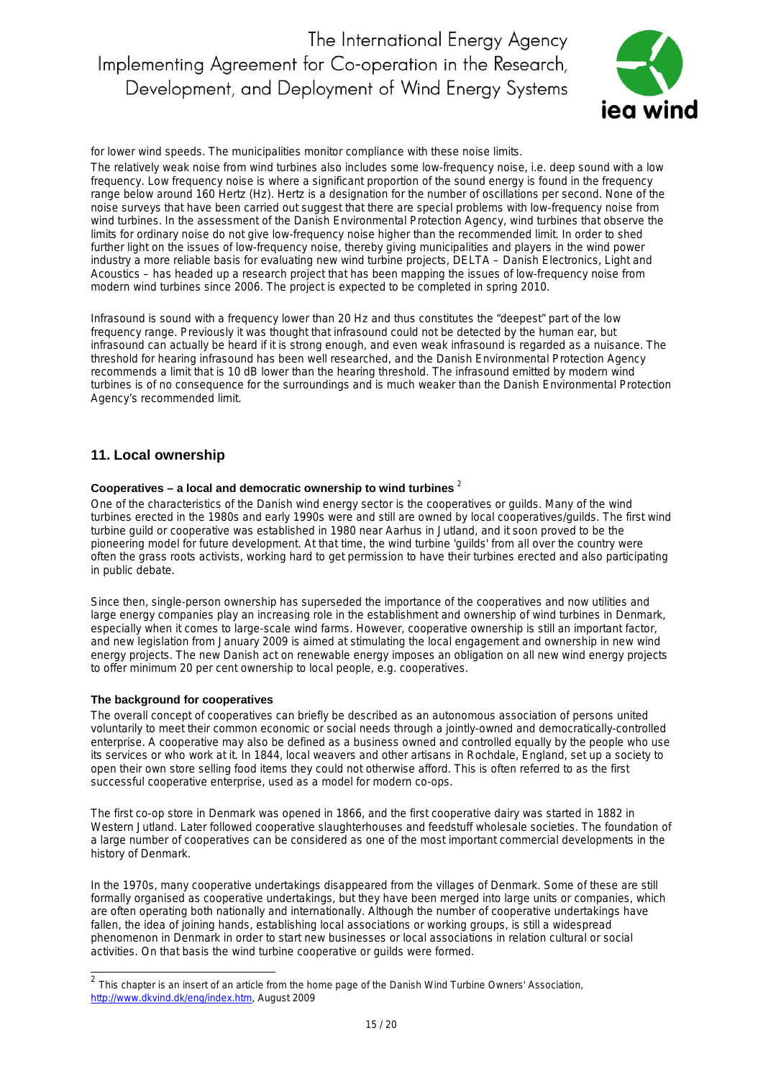

for lower wind speeds. The municipalities monitor compliance with these noise limits.

The relatively weak noise from wind turbines also includes some low-frequency noise, i.e. deep sound with a low frequency. Low frequency noise is where a significant proportion of the sound energy is found in the frequency range below around 160 Hertz (Hz). Hertz is a designation for the number of oscillations per second. None of the noise surveys that have been carried out suggest that there are special problems with low-frequency noise from wind turbines. In the assessment of the Danish Environmental Protection Agency, wind turbines that observe the limits for ordinary noise do not give low-frequency noise higher than the recommended limit. In order to shed further light on the issues of low-frequency noise, thereby giving municipalities and players in the wind power industry a more reliable basis for evaluating new wind turbine projects, DELTA – Danish Electronics, Light and Acoustics – has headed up a research project that has been mapping the issues of low-frequency noise from modern wind turbines since 2006. The project is expected to be completed in spring 2010.

Infrasound is sound with a frequency lower than 20 Hz and thus constitutes the "deepest" part of the low frequency range. Previously it was thought that infrasound could not be detected by the human ear, but infrasound can actually be heard if it is strong enough, and even weak infrasound is regarded as a nuisance. The threshold for hearing infrasound has been well researched, and the Danish Environmental Protection Agency recommends a limit that is 10 dB lower than the hearing threshold. The infrasound emitted by modern wind turbines is of no consequence for the surroundings and is much weaker than the Danish Environmental Protection Agency's recommended limit.

### **11. Local ownership**

### **Cooperatives – a local and democratic ownership to wind turbines** <sup>2</sup>

One of the characteristics of the Danish wind energy sector is the cooperatives or guilds. Many of the wind turbines erected in the 1980s and early 1990s were and still are owned by local cooperatives/guilds. The first wind turbine guild or cooperative was established in 1980 near Aarhus in Jutland, and it soon proved to be the pioneering model for future development. At that time, the wind turbine 'guilds' from all over the country were often the grass roots activists, working hard to get permission to have their turbines erected and also participating in public debate.

Since then, single-person ownership has superseded the importance of the cooperatives and now utilities and large energy companies play an increasing role in the establishment and ownership of wind turbines in Denmark, especially when it comes to large-scale wind farms. However, cooperative ownership is still an important factor, and new legislation from January 2009 is aimed at stimulating the local engagement and ownership in new wind energy projects. The new Danish act on renewable energy imposes an obligation on all new wind energy projects to offer minimum 20 per cent ownership to local people, e.g. cooperatives.

### **The background for cooperatives**

 $\overline{\phantom{a}}$ 

The overall concept of cooperatives can briefly be described as an autonomous association of persons united voluntarily to meet their common economic or social needs through a jointly-owned and democratically-controlled enterprise. A cooperative may also be defined as a business owned and controlled equally by the people who use its services or who work at it. In 1844, local weavers and other artisans in Rochdale, England, set up a society to open their own store selling food items they could not otherwise afford. This is often referred to as the first successful cooperative enterprise, used as a model for modern co-ops.

The first co-op store in Denmark was opened in 1866, and the first cooperative dairy was started in 1882 in Western Jutland. Later followed cooperative slaughterhouses and feedstuff wholesale societies. The foundation of a large number of cooperatives can be considered as one of the most important commercial developments in the history of Denmark.

In the 1970s, many cooperative undertakings disappeared from the villages of Denmark. Some of these are still formally organised as cooperative undertakings, but they have been merged into large units or companies, which are often operating both nationally and internationally. Although the number of cooperative undertakings have fallen, the idea of joining hands, establishing local associations or working groups, is still a widespread phenomenon in Denmark in order to start new businesses or local associations in relation cultural or social activities. On that basis the wind turbine cooperative or guilds were formed.

 $2$  This chapter is an insert of an article from the home page of the Danish Wind Turbine Owners' Association, http://www.dkvind.dk/eng/index.htm, August 2009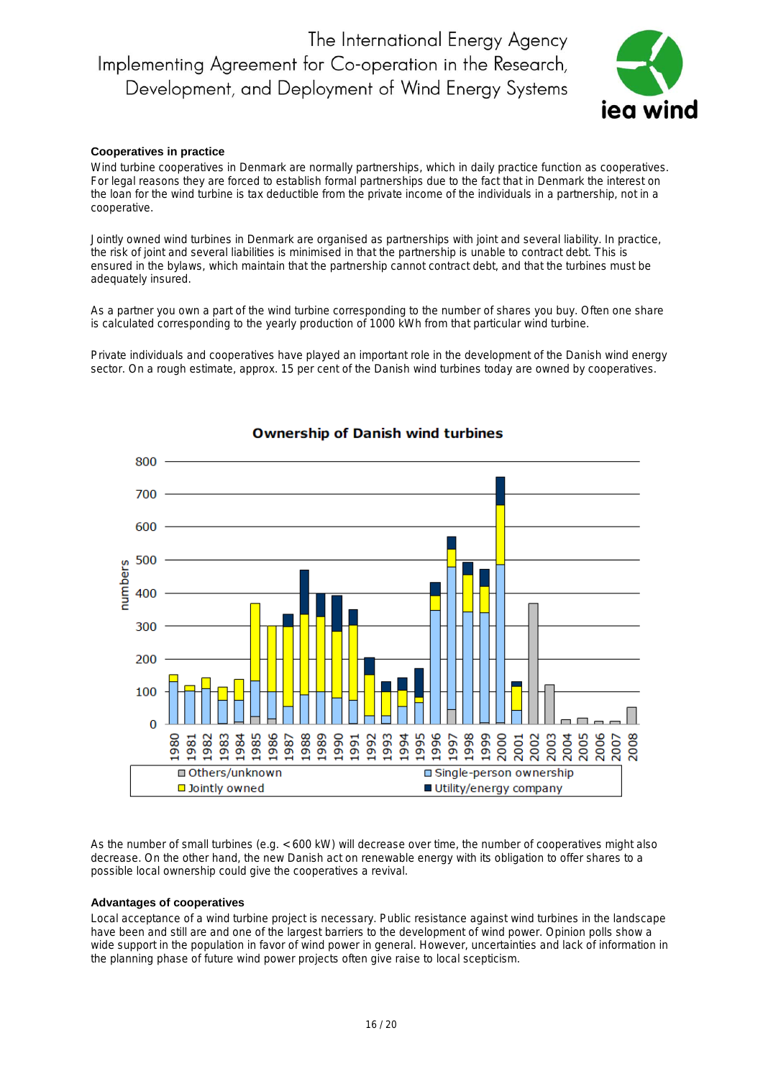

### **Cooperatives in practice**

Wind turbine cooperatives in Denmark are normally partnerships, which in daily practice function as cooperatives. For legal reasons they are forced to establish formal partnerships due to the fact that in Denmark the interest on the loan for the wind turbine is tax deductible from the private income of the individuals in a partnership, not in a cooperative.

Jointly owned wind turbines in Denmark are organised as partnerships with joint and several liability. In practice, the risk of joint and several liabilities is minimised in that the partnership is unable to contract debt. This is ensured in the bylaws, which maintain that the partnership cannot contract debt, and that the turbines must be adequately insured.

As a partner you own a part of the wind turbine corresponding to the number of shares you buy. Often one share is calculated corresponding to the yearly production of 1000 kWh from that particular wind turbine.

Private individuals and cooperatives have played an important role in the development of the Danish wind energy sector. On a rough estimate, approx. 15 per cent of the Danish wind turbines today are owned by cooperatives.



### **Ownership of Danish wind turbines**

As the number of small turbines (e.g. < 600 kW) will decrease over time, the number of cooperatives might also decrease. On the other hand, the new Danish act on renewable energy with its obligation to offer shares to a possible local ownership could give the cooperatives a revival.

### **Advantages of cooperatives**

Local acceptance of a wind turbine project is necessary. Public resistance against wind turbines in the landscape have been and still are and one of the largest barriers to the development of wind power. Opinion polls show a wide support in the population in favor of wind power in general. However, uncertainties and lack of information in the planning phase of future wind power projects often give raise to local scepticism.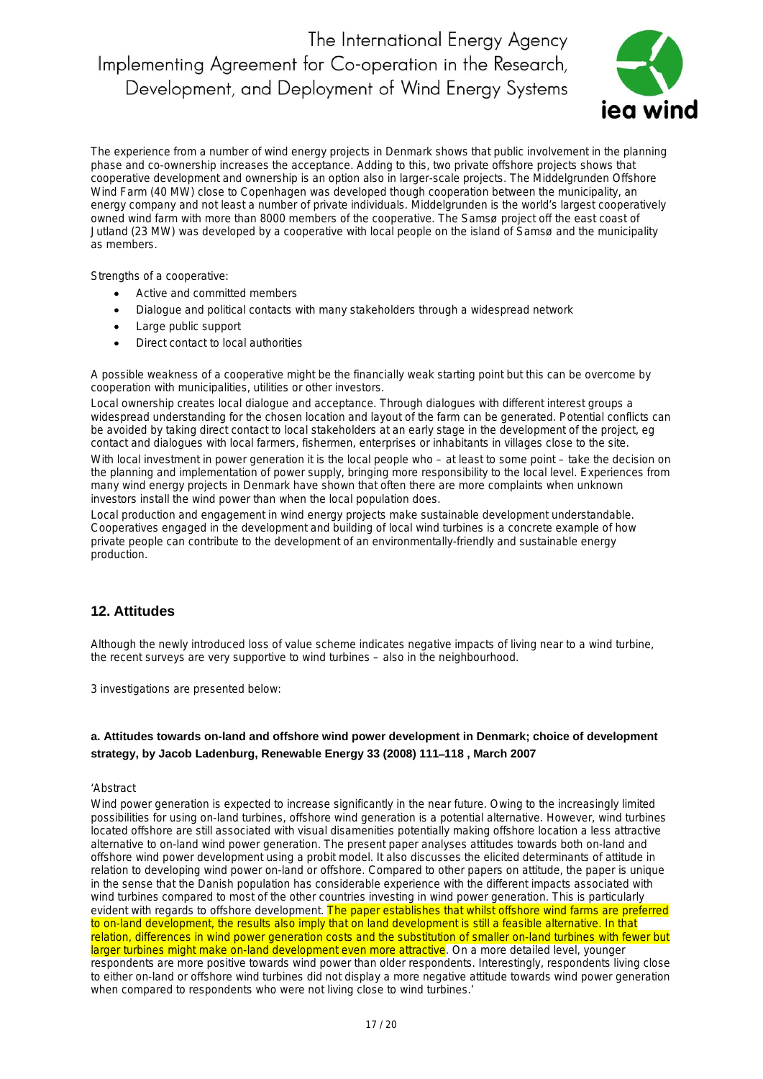

The experience from a number of wind energy projects in Denmark shows that public involvement in the planning phase and co-ownership increases the acceptance. Adding to this, two private offshore projects shows that cooperative development and ownership is an option also in larger-scale projects. The Middelgrunden Offshore Wind Farm (40 MW) close to Copenhagen was developed though cooperation between the municipality, an energy company and not least a number of private individuals. Middelgrunden is the world's largest cooperatively owned wind farm with more than 8000 members of the cooperative. The Samsø project off the east coast of Jutland (23 MW) was developed by a cooperative with local people on the island of Samsø and the municipality as members.

Strengths of a cooperative:

- Active and committed members
- Dialogue and political contacts with many stakeholders through a widespread network
- Large public support
- Direct contact to local authorities

A possible weakness of a cooperative might be the financially weak starting point but this can be overcome by cooperation with municipalities, utilities or other investors.

Local ownership creates local dialogue and acceptance. Through dialogues with different interest groups a widespread understanding for the chosen location and layout of the farm can be generated. Potential conflicts can be avoided by taking direct contact to local stakeholders at an early stage in the development of the project, eg contact and dialogues with local farmers, fishermen, enterprises or inhabitants in villages close to the site. With local investment in power generation it is the local people who – at least to some point – take the decision on the planning and implementation of power supply, bringing more responsibility to the local level. Experiences from many wind energy projects in Denmark have shown that often there are more complaints when unknown investors install the wind power than when the local population does.

Local production and engagement in wind energy projects make sustainable development understandable. Cooperatives engaged in the development and building of local wind turbines is a concrete example of how private people can contribute to the development of an environmentally-friendly and sustainable energy production.

### **12. Attitudes**

Although the newly introduced loss of value scheme indicates negative impacts of living near to a wind turbine, the recent surveys are very supportive to wind turbines – also in the neighbourhood.

3 investigations are presented below:

### **a. Attitudes towards on-land and offshore wind power development in Denmark; choice of development strategy, by Jacob Ladenburg, Renewable Energy 33 (2008) 111**–**118 , March 2007**

### 'Abstract

Wind power generation is expected to increase significantly in the near future. Owing to the increasingly limited possibilities for using on-land turbines, offshore wind generation is a potential alternative. However, wind turbines located offshore are still associated with visual disamenities potentially making offshore location a less attractive alternative to on-land wind power generation. The present paper analyses attitudes towards both on-land and offshore wind power development using a probit model. It also discusses the elicited determinants of attitude in relation to developing wind power on-land or offshore. Compared to other papers on attitude, the paper is unique in the sense that the Danish population has considerable experience with the different impacts associated with wind turbines compared to most of the other countries investing in wind power generation. This is particularly evident with regards to offshore development. The paper establishes that whilst offshore wind farms are preferred to on-land development, the results also imply that on land development is still a feasible alternative. In that relation, differences in wind power generation costs and the substitution of smaller on-land turbines with fewer but larger turbines might make on-land development even more attractive. On a more detailed level, younger respondents are more positive towards wind power than older respondents. Interestingly, respondents living close to either on-land or offshore wind turbines did not display a more negative attitude towards wind power generation when compared to respondents who were not living close to wind turbines.'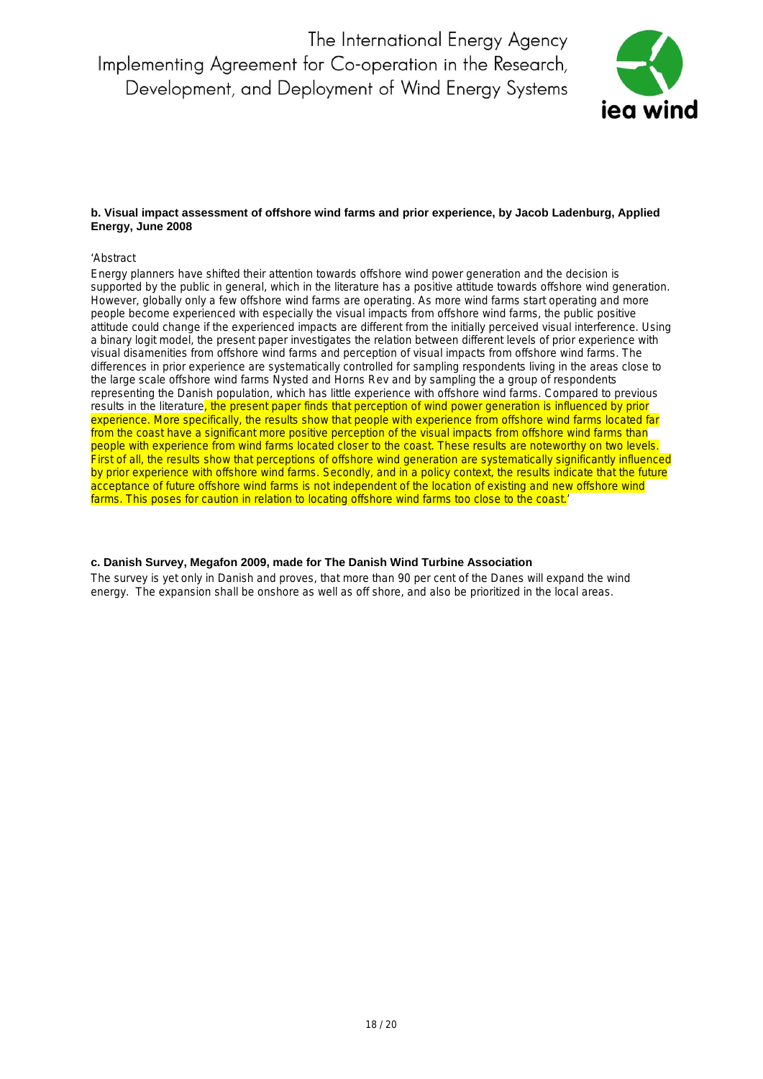

### **b. Visual impact assessment of offshore wind farms and prior experience, by Jacob Ladenburg, Applied Energy, June 2008**

### 'Abstract

Energy planners have shifted their attention towards offshore wind power generation and the decision is supported by the public in general, which in the literature has a positive attitude towards offshore wind generation. However, globally only a few offshore wind farms are operating. As more wind farms start operating and more people become experienced with especially the visual impacts from offshore wind farms, the public positive attitude could change if the experienced impacts are different from the initially perceived visual interference. Using a binary logit model, the present paper investigates the relation between different levels of prior experience with visual disamenities from offshore wind farms and perception of visual impacts from offshore wind farms. The differences in prior experience are systematically controlled for sampling respondents living in the areas close to the large scale offshore wind farms Nysted and Horns Rev and by sampling the a group of respondents representing the Danish population, which has little experience with offshore wind farms. Compared to previous results in the literature, the present paper finds that perception of wind power generation is influenced by prior experience. More specifically, the results show that people with experience from offshore wind farms located far from the coast have a significant more positive perception of the visual impacts from offshore wind farms than people with experience from wind farms located closer to the coast. These results are noteworthy on two levels. First of all, the results show that perceptions of offshore wind generation are systematically significantly influenced by prior experience with offshore wind farms. Secondly, and in a policy context, the results indicate that the future acceptance of future offshore wind farms is not independent of the location of existing and new offshore wind farms. This poses for caution in relation to locating offshore wind farms too close to the coast.'

### **c. Danish Survey, Megafon 2009, made for The Danish Wind Turbine Association**

The survey is yet only in Danish and proves, that more than 90 per cent of the Danes will expand the wind energy. The expansion shall be onshore as well as off shore, and also be prioritized in the local areas.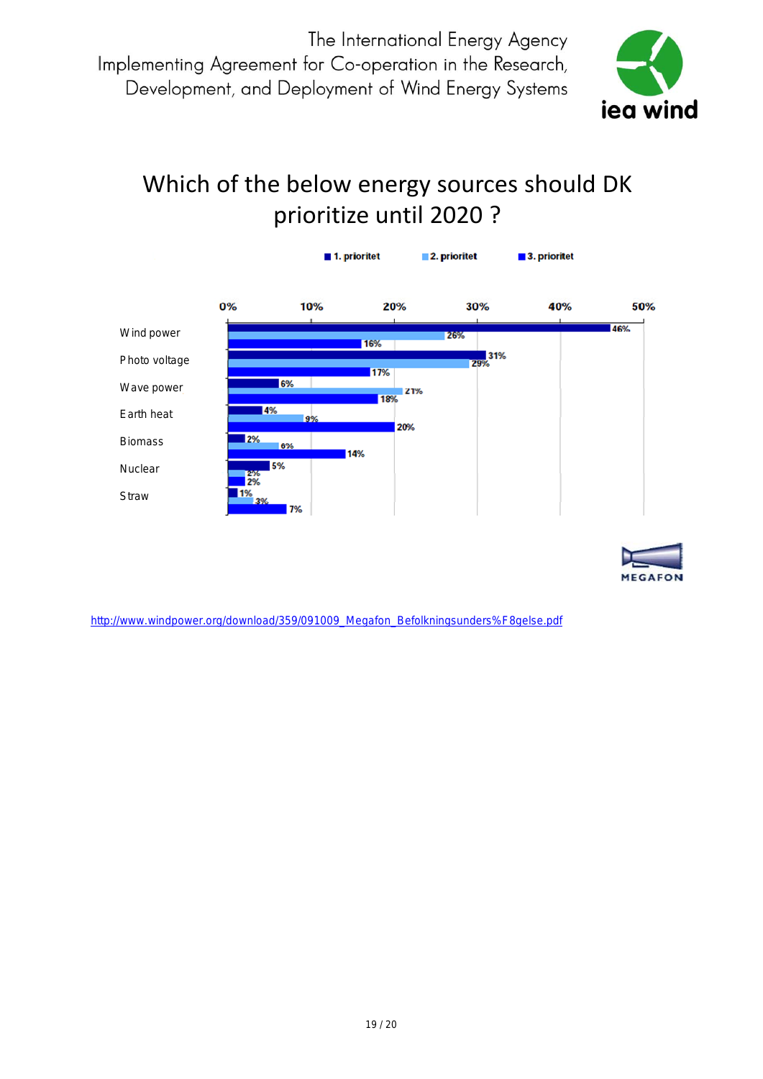

# Which of the below energy sources should DK prioritize until 2020 ?





http://www.windpower.org/download/359/091009\_Megafon\_Befolkningsunders%F8gelse.pdf